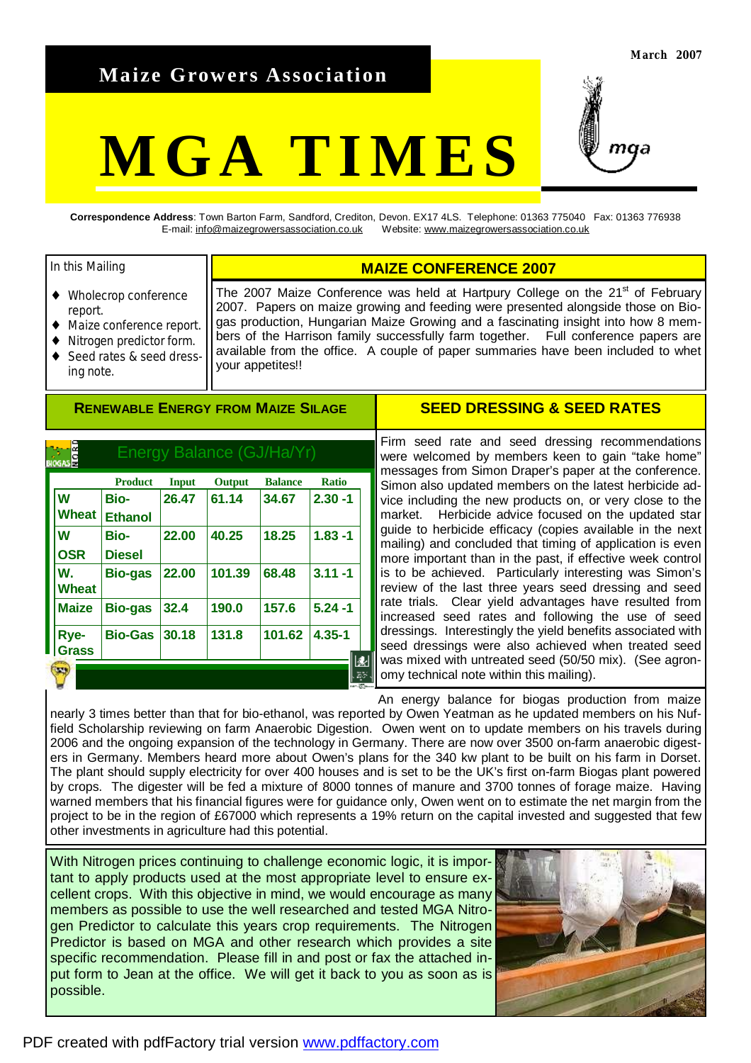## **Maize Growers Association**

# **MGA TIMES**



**Correspondence Address**: Town Barton Farm, Sandford, Crediton, Devon. EX17 4LS. Telephone: 01363 775040 Fax: 01363 776938 E-mail: [info@maizegrowersassociation.co.uk](mailto:info@maizegrowersassociation.co.uk) Website: [www.maizegrowersassociation.co.uk](http://www.maizegrowersassociation.co.uk)

#### In this Mailing

- Wholecrop conference report.
- Maize conference report.
- Nitrogen predictor form.
- Seed rates & seed dressing note.

The 2007 Maize Conference was held at Hartpury College on the  $21<sup>st</sup>$  of February 2007. Papers on maize growing and feeding were presented alongside those on Biogas production, Hungarian Maize Growing and a fascinating insight into how 8 members of the Harrison family successfully farm together. Full conference papers are available from the office. A couple of paper summaries have been included to whet your appetites!!

**MAIZE CONFERENCE 2007** 

#### **RENEWABLE ENERGY FROM MAIZE SILAGE**

|                    | <b>Product</b>         | Input | <b>Output</b> | <b>Balance</b> | <b>Ratio</b> |
|--------------------|------------------------|-------|---------------|----------------|--------------|
| lw<br><b>Wheat</b> | Bio-<br><b>Ethanol</b> | 26.47 | 61.14         | 34.67          | $2.30 - 1$   |
| W<br><b>OSR</b>    | Bio-<br><b>Diesel</b>  | 22.00 | 40.25         | 18.25          | $1.83 - 1$   |
| W.<br><b>Wheat</b> | <b>Bio-gas</b>         | 22.00 | 101.39        | 68.48          | $3.11 - 1$   |
| <b>Maize</b>       | <b>Bio-gas</b>         | 32.4  | 190.0         | 157.6          | $5.24 - 1$   |
| Rye-<br>Grass      | <b>Bio-Gas</b>         | 30.18 | 131.8         | 101.62         | $4.35 - 1$   |

#### **SEED DRESSING & SEED RATES**

Firm seed rate and seed dressing recommendations were welcomed by members keen to gain "take home" messages from Simon Draper's paper at the conference. Simon also updated members on the latest herbicide advice including the new products on, or very close to the market. Herbicide advice focused on the updated star guide to herbicide efficacy (copies available in the next mailing) and concluded that timing of application is even more important than in the past, if effective week control is to be achieved. Particularly interesting was Simon's review of the last three years seed dressing and seed rate trials. Clear yield advantages have resulted from increased seed rates and following the use of seed dressings. Interestingly the yield benefits associated with seed dressings were also achieved when treated seed was mixed with untreated seed (50/50 mix). (See agronomy technical note within this mailing).

An energy balance for biogas production from maize nearly 3 times better than that for bio-ethanol, was reported by Owen Yeatman as he updated members on his Nuffield Scholarship reviewing on farm Anaerobic Digestion. Owen went on to update members on his travels during 2006 and the ongoing expansion of the technology in Germany. There are now over 3500 on-farm anaerobic digesters in Germany. Members heard more about Owen's plans for the 340 kw plant to be built on his farm in Dorset. The plant should supply electricity for over 400 houses and is set to be the UK's first on-farm Biogas plant powered by crops. The digester will be fed a mixture of 8000 tonnes of manure and 3700 tonnes of forage maize. Having warned members that his financial figures were for guidance only, Owen went on to estimate the net margin from the project to be in the region of £67000 which represents a 19% return on the capital invested and suggested that few other investments in agriculture had this potential.

With Nitrogen prices continuing to challenge economic logic, it is important to apply products used at the most appropriate level to ensure excellent crops. With this objective in mind, we would encourage as many members as possible to use the well researched and tested MGA Nitrogen Predictor to calculate this years crop requirements. The Nitrogen Predictor is based on MGA and other research which provides a site specific recommendation. Please fill in and post or fax the attached input form to Jean at the office. We will get it back to you as soon as is possible.

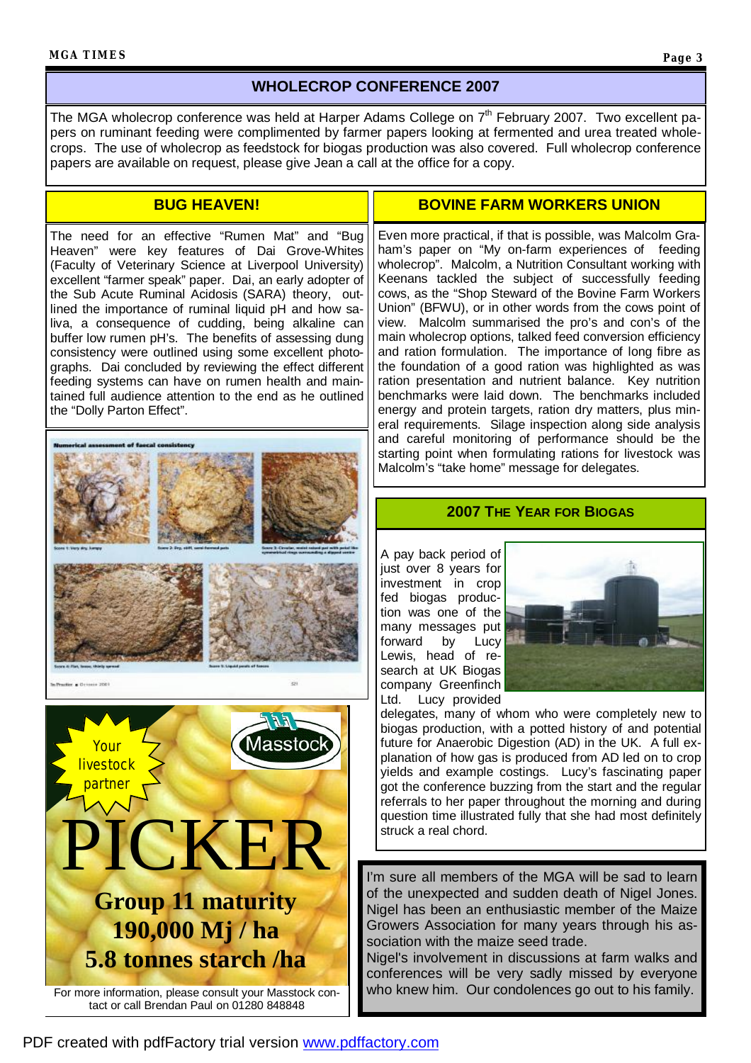### **WHOLECROP CONFERENCE 2007**

The MGA wholecrop conference was held at Harper Adams College on  $7<sup>th</sup>$  February 2007. Two excellent papers on ruminant feeding were complimented by farmer papers looking at fermented and urea treated wholecrops. The use of wholecrop as feedstock for biogas production was also covered. Full wholecrop conference papers are available on request, please give Jean a call at the office for a copy.

#### **BUG HEAVEN!**

The need for an effective "Rumen Mat" and "Bug Heaven" were key features of Dai Grove-Whites (Faculty of Veterinary Science at Liverpool University) excellent "farmer speak" paper. Dai, an early adopter of the Sub Acute Ruminal Acidosis (SARA) theory, outlined the importance of ruminal liquid pH and how saliva, a consequence of cudding, being alkaline can buffer low rumen pH's. The benefits of assessing dung consistency were outlined using some excellent photographs. Dai concluded by reviewing the effect different feeding systems can have on rumen health and maintained full audience attention to the end as he outlined the "Dolly Parton Effect".



### **BOVINE FARM WORKERS UNION**

Even more practical, if that is possible, was Malcolm Graham's paper on "My on-farm experiences of feeding wholecrop". Malcolm, a Nutrition Consultant working with Keenans tackled the subject of successfully feeding cows, as the "Shop Steward of the Bovine Farm Workers Union" (BFWU), or in other words from the cows point of view. Malcolm summarised the pro's and con's of the main wholecrop options, talked feed conversion efficiency and ration formulation. The importance of long fibre as the foundation of a good ration was highlighted as was ration presentation and nutrient balance. Key nutrition benchmarks were laid down. The benchmarks included energy and protein targets, ration dry matters, plus mineral requirements. Silage inspection along side analysis and careful monitoring of performance should be the starting point when formulating rations for livestock was Malcolm's "take home" message for delegates.

#### **2007 THE YEAR FOR BIOGAS**

A pay back period of just over 8 years for investment in crop fed biogas production was one of the many messages put forward by Lucy Lewis, head of research at UK Biogas company Greenfinch Ltd. Lucy provided



delegates, many of whom who were completely new to biogas production, with a potted history of and potential future for Anaerobic Digestion (AD) in the UK. A full explanation of how gas is produced from AD led on to crop yields and example costings. Lucy's fascinating paper got the conference buzzing from the start and the regular referrals to her paper throughout the morning and during question time illustrated fully that she had most definitely struck a real chord.

I'm sure all members of the MGA will be sad to learn of the unexpected and sudden death of Nigel Jones. Nigel has been an enthusiastic member of the Maize Growers Association for many years through his association with the maize seed trade.

Nigel's involvement in discussions at farm walks and conferences will be very sadly missed by everyone who knew him. Our condolences go out to his family.

For more information, please consult your Masstock contact or call Brendan Paul on 01280 848848

**5.8 tonnes starch /ha**